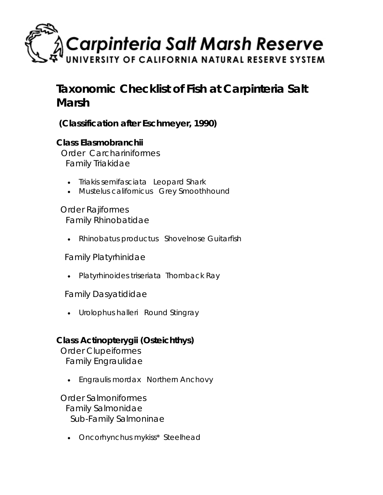

# **Taxonomic Checklist of Fish at Carpinteria Salt Marsh**

 **(Classification after Eschmeyer, 1990)** 

### **Class** *Elasmobranchii*

 Order *Carchariniformes* Family *Triakidae*

- *Triakis semifasciata* Leopard Shark
- *Mustelus californicus* Grey Smoothhound

 Order *Rajiformes* Family *Rhinobatidae*

• *Rhinobatus productus* Shovelnose Guitarfish

Family *Platyrhinidae*

• *Platyrhinoides triseriata* Thornback Ray

Family *Dasyatididae*

• *Urolophus halleri* Round Stingray

## **Class** *Actinopterygii (Osteichthys)*

 Order *Clupeiformes* Family *Engraulidae*

• *Engraulis mordax* Northern Anchovy

 Order *Salmoniformes* Family *Salmonidae* Sub-Family *Salmoninae*

• *Oncorhynchus mykiss\** Steelhead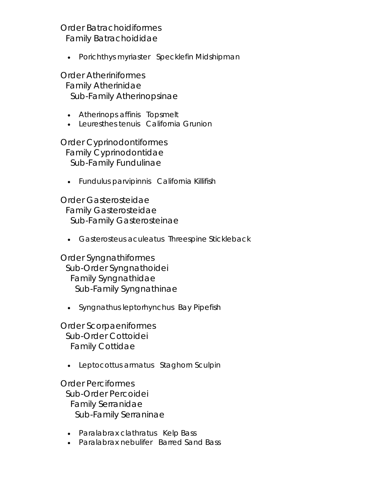#### Order *Batrachoidiformes* Family *Batrachoididae*

• *Porichthys myriaster* Specklefin Midshipman

 Order *Atheriniformes* Family *Atherinidae* Sub-Family *Atherinopsinae*

- *Atherinops affinis* Topsmelt
- *Leuresthes tenuis* California Grunion

 Order *Cyprinodontiformes* Family *Cyprinodontidae* Sub-Family *Fundulinae*

• *Fundulus parvipinnis* California Killifish

 Order *Gasterosteidae* Family *Gasterosteidae* Sub-Family *Gasterosteinae*

• *Gasterosteus aculeatus* Threespine Stickleback

 Order *Syngnathiformes* Sub-Order *Syngnathoidei* Family *Syngnathidae* Sub-Family *Syngnathinae*

• *Syngnathus leptorhynchus* Bay Pipefish

 Order *Scorpaeniformes* Sub-Order *Cottoidei* Family *Cottidae*

• *Leptocottus armatus* Staghorn Sculpin

 Order *Perciformes* Sub-Order *Percoidei* Family *Serranidae* Sub-Family *Serraninae*

- *Paralabrax clathratus* Kelp Bass
- *Paralabrax nebulifer* Barred Sand Bass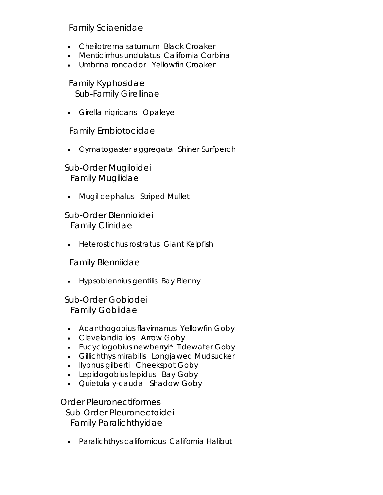#### Family *Sciaenidae*

- *Cheilotrema saturnum* Black Croaker
- *Menticirrhus undulatus* California Corbina
- *Umbrina roncador* Yellowfin Croaker

 Family *Kyphosidae* Sub-Family *Girellinae*

• *Girella nigricans* Opaleye

Family *Embiotocidae*

• *Cymatogaster aggregata* Shiner Surfperch

 Sub-Order *Mugiloidei* Family *Mugilidae*

• *Mugil cephalus* Striped Mullet

 Sub-Order *Blennioidei* Family *Clinidae*

• *Heterostichus rostratus* Giant Kelpfish

Family *Blenniidae*

• *Hypsoblennius gentilis* Bay Blenny

 Sub-Order *Gobiodei* Family *Gobiidae*

- *Acanthogobius flavimanus* Yellowfin Goby
- *Clevelandia ios* Arrow Goby
- *Eucyclogobius newberryi\** Tidewater Goby
- *Gillichthys mirabilis* Longjawed Mudsucker
- *Ilypnus gilberti* Cheekspot Goby
- *Lepidogobius lepidus* Bay Goby
- *Quietula y-cauda* Shadow Goby

 Order *Pleuronectiformes* Sub-Order *Pleuronectoidei* Family *Paralichthyidae*

• *Paralichthys californicus* California Halibut